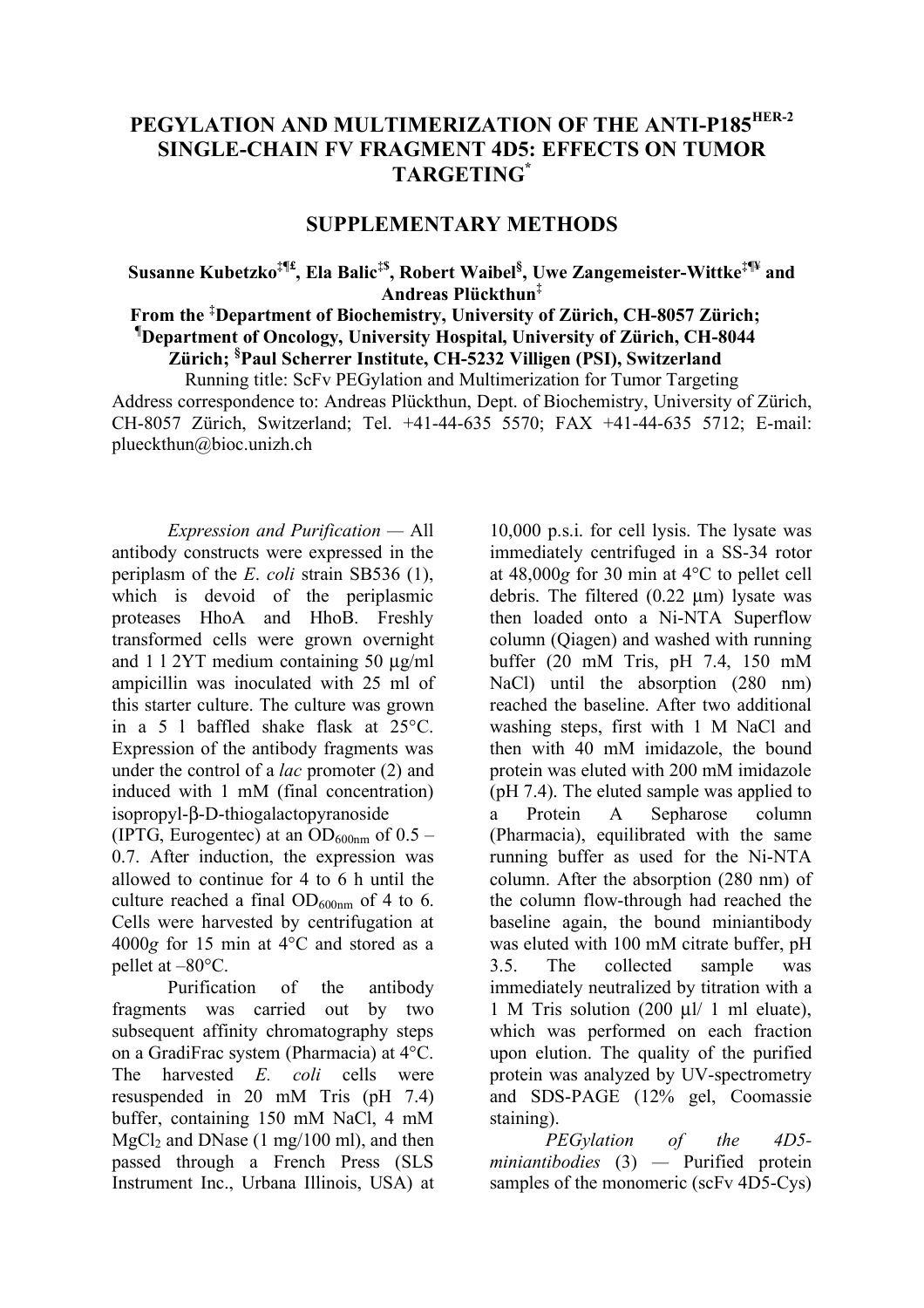# **PEGYLATION AND MULTIMERIZATION OF THE ANTI-P185HER-2 SINGLE-CHAIN FV FRAGMENT 4D5: EFFECTS ON TUMOR TARGETING\***

## **SUPPLEMENTARY METHODS**

# $\bf S$ usanne  $\bf K$ ubetzko $^{\ddagger\Psi}$ , Ela Balic $^{\ddagger\$}$ , Robert Waibel $^{\$,}$  Uwe Zangemeister-Wittke $^{\ddagger\Psi}$  and **Andreas Plückthun‡**

## **From the ‡ Department of Biochemistry, University of Zürich, CH-8057 Zürich; ¶ Department of Oncology, University Hospital, University of Zürich, CH-8044 Zürich; § Paul Scherrer Institute, CH-5232 Villigen (PSI), Switzerland**

Running title: ScFv PEGylation and Multimerization for Tumor Targeting Address correspondence to: Andreas Plückthun, Dept. of Biochemistry, University of Zürich, CH-8057 Zürich, Switzerland; Tel. +41-44-635 5570; FAX +41-44-635 5712; E-mail: plueckthun@bioc.unizh.ch

*Expression and Purification —* All antibody constructs were expressed in the periplasm of the *E*. *coli* strain SB536 (1), which is devoid of the periplasmic proteases HhoA and HhoB. Freshly transformed cells were grown overnight and 1 l 2YT medium containing 50 µg/ml ampicillin was inoculated with 25 ml of this starter culture. The culture was grown in a 5 l baffled shake flask at 25°C. Expression of the antibody fragments was under the control of a *lac* promoter (2) and induced with 1 mM (final concentration) isopropyl-β-D-thiogalactopyranoside

(IPTG, Eurogentec) at an  $OD_{600nm}$  of 0.5 – 0.7. After induction, the expression was allowed to continue for 4 to 6 h until the culture reached a final  $OD_{600nm}$  of 4 to 6. Cells were harvested by centrifugation at 4000*g* for 15 min at 4°C and stored as a pellet at –80°C.

Purification of the antibody fragments was carried out by two subsequent affinity chromatography steps on a GradiFrac system (Pharmacia) at 4°C. The harvested *E. coli* cells were resuspended in 20 mM Tris (pH 7.4) buffer, containing 150 mM NaCl, 4 mM MgCl<sub>2</sub> and DNase  $(1 \text{ mg}/100 \text{ ml})$ , and then passed through a French Press (SLS Instrument Inc., Urbana Illinois, USA) at

10,000 p.s.i. for cell lysis. The lysate was immediately centrifuged in a SS-34 rotor at 48,000*g* for 30 min at 4°C to pellet cell debris. The filtered  $(0.22 \mu m)$  lysate was then loaded onto a Ni-NTA Superflow column (Qiagen) and washed with running buffer (20 mM Tris, pH 7.4, 150 mM NaCl) until the absorption (280 nm) reached the baseline. After two additional washing steps, first with 1 M NaCl and then with 40 mM imidazole, the bound protein was eluted with 200 mM imidazole (pH 7.4). The eluted sample was applied to a Protein A Sepharose column (Pharmacia), equilibrated with the same running buffer as used for the Ni-NTA column. After the absorption (280 nm) of the column flow-through had reached the baseline again, the bound miniantibody was eluted with 100 mM citrate buffer, pH 3.5. The collected sample was immediately neutralized by titration with a 1 M Tris solution (200 µl/ 1 ml eluate), which was performed on each fraction upon elution. The quality of the purified protein was analyzed by UV-spectrometry and SDS-PAGE (12% gel, Coomassie staining).

*PEGylation of the 4D5 miniantibodies* (3) *—* Purified protein samples of the monomeric (scFv 4D5-Cys)